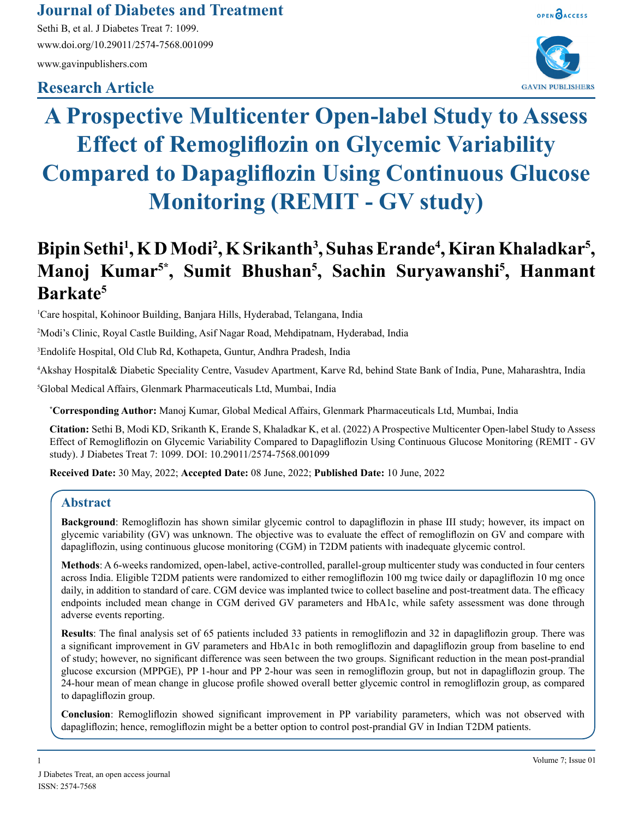# **Journal of Diabetes and Treatment**

Sethi B, et al. J Diabetes Treat 7: 1099. www.doi.org/10.29011/2574-7568.001099 www.gavinpublishers.com

# **Research Article**



OPEN OACCESS



# **A Prospective Multicenter Open-label Study to Assess Effect of Remogliflozin on Glycemic Variability Compared to Dapagliflozin Using Continuous Glucose Monitoring (REMIT - GV study)**

# Bipin Sethi<sup>1</sup>, K D Modi<sup>2</sup>, K Srikanth<sup>3</sup>, Suhas Erande<sup>4</sup>, Kiran Khaladkar<sup>5</sup>, **Manoj Kumar5\*, Sumit Bhushan5 , Sachin Suryawanshi5 , Hanmant Barkate5**

1 Care hospital, Kohinoor Building, Banjara Hills, Hyderabad, Telangana, India

2 Modi's Clinic, Royal Castle Building, Asif Nagar Road, Mehdipatnam, Hyderabad, India

3 Endolife Hospital, Old Club Rd, Kothapeta, Guntur, Andhra Pradesh, India

4 Akshay Hospital& Diabetic Speciality Centre, Vasudev Apartment, Karve Rd, behind State Bank of India, Pune, Maharashtra, India

5 Global Medical Affairs, Glenmark Pharmaceuticals Ltd, Mumbai, India

**\* Corresponding Author:** Manoj Kumar, Global Medical Affairs, Glenmark Pharmaceuticals Ltd, Mumbai, India

**Citation:** Sethi B, Modi KD, Srikanth K, Erande S, Khaladkar K, et al. (2022) A Prospective Multicenter Open-label Study to Assess Effect of Remogliflozin on Glycemic Variability Compared to Dapagliflozin Using Continuous Glucose Monitoring (REMIT - GV study). J Diabetes Treat 7: 1099. DOI: 10.29011/2574-7568.001099

**Received Date:** 30 May, 2022; **Accepted Date:** 08 June, 2022; **Published Date:** 10 June, 2022

# **Abstract**

**Background**: Remogliflozin has shown similar glycemic control to dapagliflozin in phase III study; however, its impact on glycemic variability (GV) was unknown. The objective was to evaluate the effect of remogliflozin on GV and compare with dapagliflozin, using continuous glucose monitoring (CGM) in T2DM patients with inadequate glycemic control.

**Methods**: A 6-weeks randomized, open-label, active-controlled, parallel-group multicenter study was conducted in four centers across India. Eligible T2DM patients were randomized to either remogliflozin 100 mg twice daily or dapagliflozin 10 mg once daily, in addition to standard of care. CGM device was implanted twice to collect baseline and post-treatment data. The efficacy endpoints included mean change in CGM derived GV parameters and HbA1c, while safety assessment was done through adverse events reporting.

**Results**: The final analysis set of 65 patients included 33 patients in remogliflozin and 32 in dapagliflozin group. There was a significant improvement in GV parameters and HbA1c in both remogliflozin and dapagliflozin group from baseline to end of study; however, no significant difference was seen between the two groups. Significant reduction in the mean post-prandial glucose excursion (MPPGE), PP 1-hour and PP 2-hour was seen in remogliflozin group, but not in dapagliflozin group. The 24-hour mean of mean change in glucose profile showed overall better glycemic control in remogliflozin group, as compared to dapagliflozin group.

**Conclusion**: Remogliflozin showed significant improvement in PP variability parameters, which was not observed with dapagliflozin; hence, remogliflozin might be a better option to control post-prandial GV in Indian T2DM patients.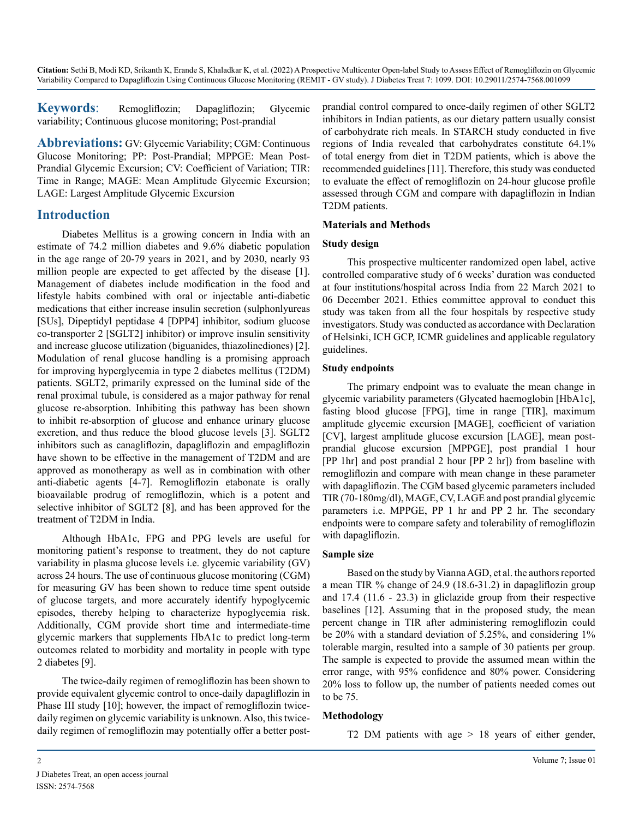**Keywords**: Remogliflozin; Dapagliflozin; Glycemic variability; Continuous glucose monitoring; Post-prandial

**Abbreviations:** GV: Glycemic Variability; CGM: Continuous Glucose Monitoring; PP: Post-Prandial; MPPGE: Mean Post-Prandial Glycemic Excursion; CV: Coefficient of Variation; TIR: Time in Range; MAGE: Mean Amplitude Glycemic Excursion; LAGE: Largest Amplitude Glycemic Excursion

### **Introduction**

Diabetes Mellitus is a growing concern in India with an estimate of 74.2 million diabetes and 9.6% diabetic population in the age range of 20-79 years in 2021, and by 2030, nearly 93 million people are expected to get affected by the disease [1]. Management of diabetes include modification in the food and lifestyle habits combined with oral or injectable anti-diabetic medications that either increase insulin secretion (sulphonlyureas [SUs], Dipeptidyl peptidase 4 [DPP4] inhibitor, sodium glucose co-transporter 2 [SGLT2] inhibitor) or improve insulin sensitivity and increase glucose utilization (biguanides, thiazolinediones) [2]. Modulation of renal glucose handling is a promising approach for improving hyperglycemia in type 2 diabetes mellitus (T2DM) patients. SGLT2, primarily expressed on the luminal side of the renal proximal tubule, is considered as a major pathway for renal glucose re-absorption. Inhibiting this pathway has been shown to inhibit re-absorption of glucose and enhance urinary glucose excretion, and thus reduce the blood glucose levels [3]. SGLT2 inhibitors such as canagliflozin, dapagliflozin and empagliflozin have shown to be effective in the management of T2DM and are approved as monotherapy as well as in combination with other anti-diabetic agents [4-7]. Remogliflozin etabonate is orally bioavailable prodrug of remogliflozin, which is a potent and selective inhibitor of SGLT2 [8], and has been approved for the treatment of T2DM in India.

Although HbA1c, FPG and PPG levels are useful for monitoring patient's response to treatment, they do not capture variability in plasma glucose levels i.e. glycemic variability (GV) across 24 hours. The use of continuous glucose monitoring (CGM) for measuring GV has been shown to reduce time spent outside of glucose targets, and more accurately identify hypoglycemic episodes, thereby helping to characterize hypoglycemia risk. Additionally, CGM provide short time and intermediate-time glycemic markers that supplements HbA1c to predict long-term outcomes related to morbidity and mortality in people with type 2 diabetes [9].

The twice-daily regimen of remogliflozin has been shown to provide equivalent glycemic control to once-daily dapagliflozin in Phase III study [10]; however, the impact of remogliflozin twicedaily regimen on glycemic variability is unknown. Also, this twicedaily regimen of remogliflozin may potentially offer a better postprandial control compared to once-daily regimen of other SGLT2 inhibitors in Indian patients, as our dietary pattern usually consist of carbohydrate rich meals. In STARCH study conducted in five regions of India revealed that carbohydrates constitute 64.1% of total energy from diet in T2DM patients, which is above the recommended guidelines [11]. Therefore, this study was conducted to evaluate the effect of remogliflozin on 24-hour glucose profile assessed through CGM and compare with dapagliflozin in Indian T2DM patients.

#### **Materials and Methods**

#### **Study design**

This prospective multicenter randomized open label, active controlled comparative study of 6 weeks' duration was conducted at four institutions/hospital across India from 22 March 2021 to 06 December 2021. Ethics committee approval to conduct this study was taken from all the four hospitals by respective study investigators. Study was conducted as accordance with Declaration of Helsinki, ICH GCP, ICMR guidelines and applicable regulatory guidelines.

#### **Study endpoints**

The primary endpoint was to evaluate the mean change in glycemic variability parameters (Glycated haemoglobin [HbA1c], fasting blood glucose [FPG], time in range [TIR], maximum amplitude glycemic excursion [MAGE], coefficient of variation [CV], largest amplitude glucose excursion [LAGE], mean postprandial glucose excursion [MPPGE], post prandial 1 hour [PP 1hr] and post prandial 2 hour [PP 2 hr]) from baseline with remogliflozin and compare with mean change in these parameter with dapagliflozin. The CGM based glycemic parameters included TIR (70-180mg/dl), MAGE, CV, LAGE and post prandial glycemic parameters i.e. MPPGE, PP 1 hr and PP 2 hr. The secondary endpoints were to compare safety and tolerability of remogliflozin with dapagliflozin.

#### **Sample size**

Based on the study by Vianna AGD, et al. the authors reported a mean TIR % change of 24.9 (18.6-31.2) in dapagliflozin group and 17.4 (11.6 - 23.3) in gliclazide group from their respective baselines [12]. Assuming that in the proposed study, the mean percent change in TIR after administering remogliflozin could be 20% with a standard deviation of 5.25%, and considering 1% tolerable margin, resulted into a sample of 30 patients per group. The sample is expected to provide the assumed mean within the error range, with 95% confidence and 80% power. Considering 20% loss to follow up, the number of patients needed comes out to be 75.

#### **Methodology**

T2 DM patients with age > 18 years of either gender,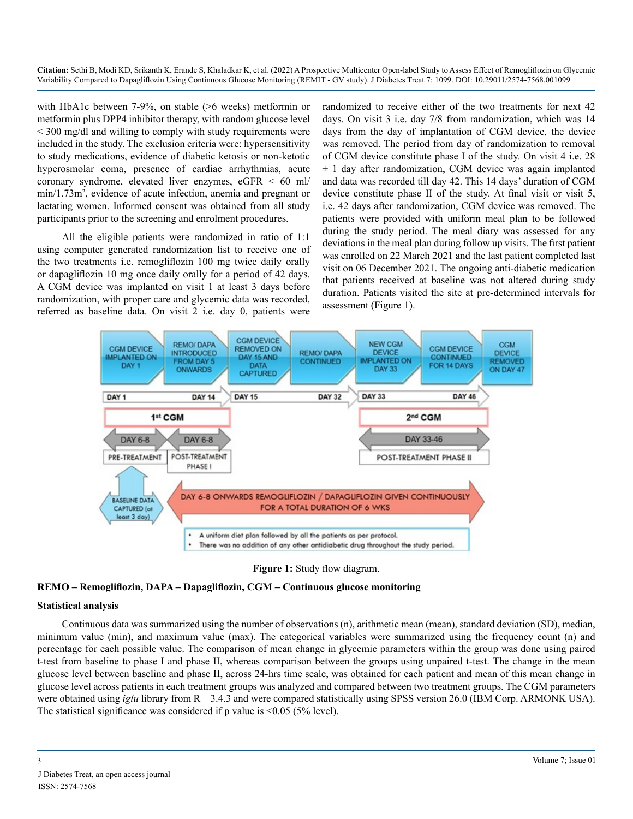with HbA1c between 7-9%, on stable (>6 weeks) metformin or metformin plus DPP4 inhibitor therapy, with random glucose level < 300 mg/dl and willing to comply with study requirements were included in the study. The exclusion criteria were: hypersensitivity to study medications, evidence of diabetic ketosis or non-ketotic hyperosmolar coma, presence of cardiac arrhythmias, acute coronary syndrome, elevated liver enzymes, eGFR < 60 ml/ min/1.73m<sup>2</sup>, evidence of acute infection, anemia and pregnant or lactating women. Informed consent was obtained from all study participants prior to the screening and enrolment procedures.

All the eligible patients were randomized in ratio of 1:1 using computer generated randomization list to receive one of the two treatments i.e. remogliflozin 100 mg twice daily orally or dapagliflozin 10 mg once daily orally for a period of 42 days. A CGM device was implanted on visit 1 at least 3 days before randomization, with proper care and glycemic data was recorded, referred as baseline data. On visit 2 i.e. day 0, patients were

randomized to receive either of the two treatments for next 42 days. On visit 3 i.e. day 7/8 from randomization, which was 14 days from the day of implantation of CGM device, the device was removed. The period from day of randomization to removal of CGM device constitute phase I of the study. On visit 4 i.e. 28  $\pm$  1 day after randomization, CGM device was again implanted and data was recorded till day 42. This 14 days' duration of CGM device constitute phase II of the study. At final visit or visit 5, i.e. 42 days after randomization, CGM device was removed. The patients were provided with uniform meal plan to be followed during the study period. The meal diary was assessed for any deviations in the meal plan during follow up visits. The first patient was enrolled on 22 March 2021 and the last patient completed last visit on 06 December 2021. The ongoing anti-diabetic medication that patients received at baseline was not altered during study duration. Patients visited the site at pre-determined intervals for assessment (Figure 1).





#### **REMO – Remogliflozin, DAPA – Dapagliflozin, CGM – Continuous glucose monitoring**

#### **Statistical analysis**

Continuous data was summarized using the number of observations (n), arithmetic mean (mean), standard deviation (SD), median, minimum value (min), and maximum value (max). The categorical variables were summarized using the frequency count (n) and percentage for each possible value. The comparison of mean change in glycemic parameters within the group was done using paired t-test from baseline to phase I and phase II, whereas comparison between the groups using unpaired t-test. The change in the mean glucose level between baseline and phase II, across 24-hrs time scale, was obtained for each patient and mean of this mean change in glucose level across patients in each treatment groups was analyzed and compared between two treatment groups. The CGM parameters were obtained using *iglu* library from R – 3.4.3 and were compared statistically using SPSS version 26.0 (IBM Corp. ARMONK USA). The statistical significance was considered if  $p$  value is <0.05 (5% level).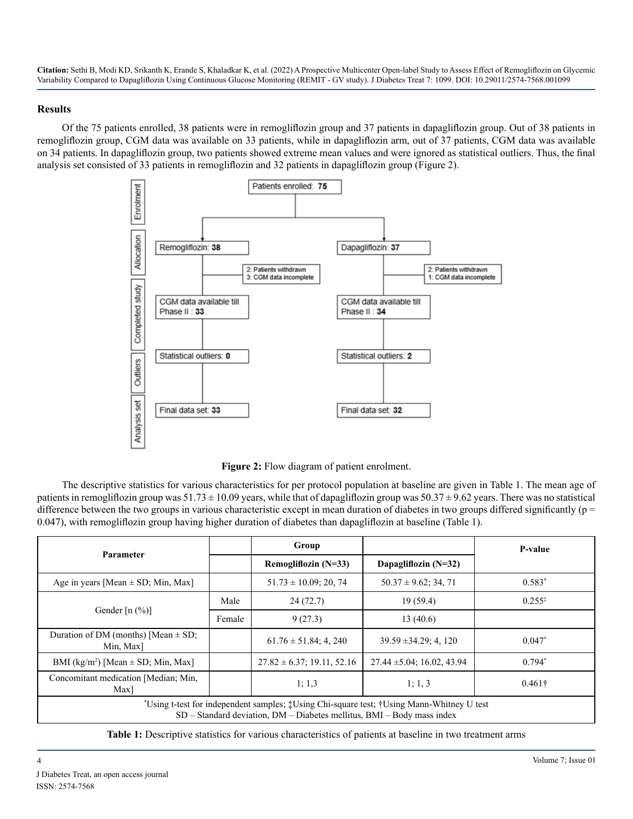#### **Results**

Of the 75 patients enrolled, 38 patients were in remogliflozin group and 37 patients in dapagliflozin group. Out of 38 patients in remogliflozin group, CGM data was available on 33 patients, while in dapagliflozin arm, out of 37 patients, CGM data was available on 34 patients. In dapagliflozin group, two patients showed extreme mean values and were ignored as statistical outliers. Thus, the final analysis set consisted of 33 patients in remogliflozin and 32 patients in dapagliflozin group (Figure 2).



**Figure 2:** Flow diagram of patient enrolment.

The descriptive statistics for various characteristics for per protocol population at baseline are given in Table 1. The mean age of patients in remogliflozin group was  $51.73 \pm 10.09$  years, while that of dapagliflozin group was  $50.37 \pm 9.62$  years. There was no statistical difference between the two groups in various characteristic except in mean duration of diabetes in two groups differed significantly ( $p =$ 0.047), with remogliflozin group having higher duration of diabetes than dapagliflozin at baseline (Table 1).

| <b>Parameter</b>                                                                                                                                                                |        | Group                           |                                 | P-value        |  |  |
|---------------------------------------------------------------------------------------------------------------------------------------------------------------------------------|--------|---------------------------------|---------------------------------|----------------|--|--|
|                                                                                                                                                                                 |        | Remogliflozin $(N=33)$          | Dapagliflozin $(N=32)$          |                |  |  |
| Age in years [Mean $\pm$ SD; Min, Max]                                                                                                                                          |        | $51.73 \pm 10.09$ ; 20, 74      | $50.37 \pm 9.62$ ; 34, 71       | $0.583*$       |  |  |
|                                                                                                                                                                                 | Male   | 24(72.7)                        | 19(59.4)                        | $0.255*$       |  |  |
| Gender $[n (%)]$                                                                                                                                                                | Female | 9(27.3)                         | 13(40.6)                        |                |  |  |
| Duration of DM (months) [Mean $\pm$ SD;<br>Min, Max                                                                                                                             |        | $61.76 \pm 51.84$ ; 4, 240      | $39.59 \pm 34.29$ ; 4, 120      | $0.047*$       |  |  |
| BMI (kg/m <sup>2</sup> ) [Mean $\pm$ SD; Min, Max]                                                                                                                              |        | $27.82 \pm 6.37$ ; 19.11, 52.16 | $27.44 \pm 5.04$ ; 16.02, 43.94 | $0.794*$       |  |  |
| Concomitant medication [Median; Min.<br>$Max$ ]                                                                                                                                 |        | 1; 1, 3                         | 1; 1, 3                         | $0.461\dagger$ |  |  |
| *Using t-test for independent samples; #Using Chi-square test; †Using Mann-Whitney U test<br>$SD - Standard deviation$ , $DM - D^{i}$ abelies mellitus, $BMI - Body$ mass index |        |                                 |                                 |                |  |  |

**Table 1:** Descriptive statistics for various characteristics of patients at baseline in two treatment arms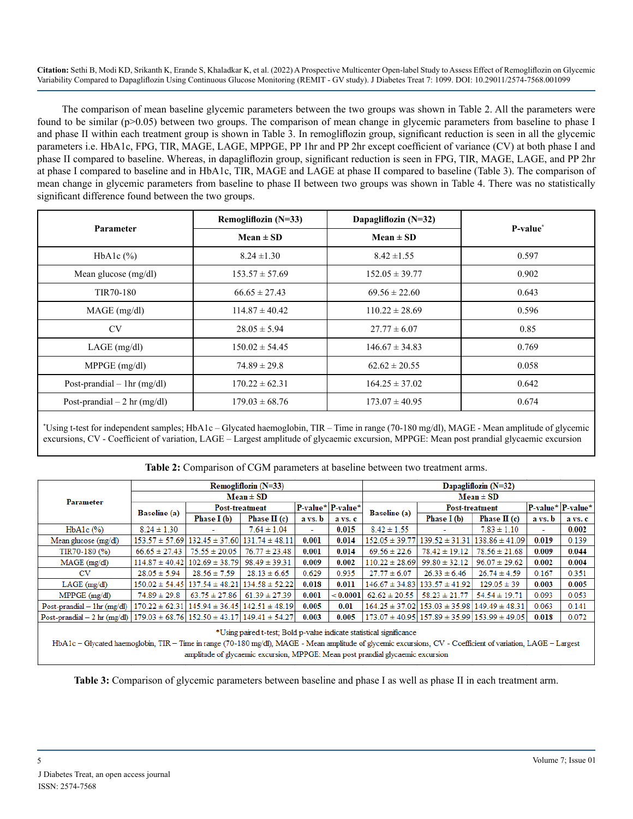The comparison of mean baseline glycemic parameters between the two groups was shown in Table 2. All the parameters were found to be similar (p>0.05) between two groups. The comparison of mean change in glycemic parameters from baseline to phase I and phase II within each treatment group is shown in Table 3. In remogliflozin group, significant reduction is seen in all the glycemic parameters i.e. HbA1c, FPG, TIR, MAGE, LAGE, MPPGE, PP 1hr and PP 2hr except coefficient of variance (CV) at both phase I and phase II compared to baseline. Whereas, in dapagliflozin group, significant reduction is seen in FPG, TIR, MAGE, LAGE, and PP 2hr at phase I compared to baseline and in HbA1c, TIR, MAGE and LAGE at phase II compared to baseline (Table 3). The comparison of mean change in glycemic parameters from baseline to phase II between two groups was shown in Table 4. There was no statistically significant difference found between the two groups.

| <b>Parameter</b>               | Remogliflozin $(N=33)$ | Dapagliflozin $(N=32)$ | P-value <sup>*</sup> |  |
|--------------------------------|------------------------|------------------------|----------------------|--|
|                                | $Mean \pm SD$          | $Mean \pm SD$          |                      |  |
| HbA1c $(\%)$                   | $8.24 \pm 1.30$        | $8.42 \pm 1.55$        | 0.597                |  |
| Mean glucose $(mg/dl)$         | $153.57 \pm 57.69$     | $152.05 \pm 39.77$     | 0.902                |  |
| TIR70-180                      | $66.65 \pm 27.43$      | $69.56 \pm 22.60$      | 0.643                |  |
| $MAGE$ (mg/dl)                 | $114.87 \pm 40.42$     | $110.22 \pm 28.69$     | 0.596                |  |
| <b>CV</b>                      | $28.05 \pm 5.94$       | $27.77 \pm 6.07$       | 0.85                 |  |
| $LAGE$ (mg/dl)                 | $150.02 \pm 54.45$     | $146.67 \pm 34.83$     | 0.769                |  |
| $MPPGE$ (mg/dl)                | $74.89 \pm 29.8$       | $62.62 \pm 20.55$      | 0.058                |  |
| Post-prandial $-$ 1 hr (mg/dl) | $170.22 \pm 62.31$     | $164.25 \pm 37.02$     | 0.642                |  |
| Post-prandial $-2$ hr (mg/dl)  | $179.03 \pm 68.76$     | $173.07 \pm 40.95$     | 0.674                |  |

\* Using t-test for independent samples; HbA1c – Glycated haemoglobin, TIR – Time in range (70-180 mg/dl), MAGE - Mean amplitude of glycemic excursions, CV - Coefficient of variation, LAGE – Largest amplitude of glycaemic excursion, MPPGE: Mean post prandial glycaemic excursion

|                                                                                             | Remogliflozin (N=33) |                       |                                         |                      |          | Dapagliflozin $(N=32)$ |                                                          |                    |         |                                                        |
|---------------------------------------------------------------------------------------------|----------------------|-----------------------|-----------------------------------------|----------------------|----------|------------------------|----------------------------------------------------------|--------------------|---------|--------------------------------------------------------|
| Parameter                                                                                   |                      |                       | $Mean \pm SD$                           | $Mean \pm SD$        |          |                        |                                                          |                    |         |                                                        |
|                                                                                             | Baseline (a)         | <b>Post-treatment</b> |                                         | $P-value^*$ P-value* |          |                        | <b>Post-treatment</b>                                    |                    |         | $\mathbf{P}\text{-value}^{\star}$ P-value <sup>*</sup> |
|                                                                                             |                      | Phase I (b)           | Phase II $(c)$                          | a vs. b              | a vs. c  | Baseline (a)           | Phase I (b)                                              | Phase II $(c)$     | a vs. b | a vs. c                                                |
| $HbA1c$ $(\%)$                                                                              | $8.24 \pm 1.30$      |                       | $7.64 \pm 1.04$                         | ٠                    | 0.015    | $8.42 \pm 1.55$        |                                                          | $7.83 \pm 1.10$    | - 1     | 0.002                                                  |
| Mean glucose $(mg/dl)$                                                                      | $153.57 \pm 57.69$   | $132.45 \pm 37.60$    | $131.74 \pm 48.11$                      | 0.001                | 0.014    | $152.05 \pm 39.77$     | $139.52 \pm 31.31$                                       | $138.86 \pm 41.09$ | 0.019   | 0.139                                                  |
| TIR70-180 (%)                                                                               | $66.65 \pm 27.43$    | $75.55 \pm 20.05$     | $76.77 \pm 23.48$                       | 0.001                | 0.014    | $69.56 \pm 22.6$       | $78.42 \pm 19.12$                                        | $78.56 \pm 21.68$  | 0.009   | 0.044                                                  |
| $MAGE$ (mg/dl)                                                                              | $114.87 \pm 40.42$   | $102.69 \pm 38.79$    | $98.49 \pm 39.31$                       | 0.009                | 0.002    | $110.22 \pm 28.69$     | $99.80 \pm 32.12$                                        | $96.07 \pm 29.62$  | 0.002   | 0.004                                                  |
| <b>CV</b>                                                                                   | $28.05 \pm 5.94$     | $28.56 \pm 7.59$      | $28.13 \pm 6.65$                        | 0.629                | 0.935    | $27.77 \pm 6.07$       | $26.33 \pm 6.46$                                         | $26.74 \pm 4.59$   | 0.167   | 0.351                                                  |
| $LAGE$ (mg/dl)                                                                              | $150.02 \pm 54.45$   | $137.54 \pm 48.21$    | $134.58 \pm 52.22$                      | 0.018                | 0.011    |                        | $146.67 \pm 34.83 \mid 133.57 \pm 41.92$                 | $129.05 \pm 39$    | 0.003   | 0.005                                                  |
| $MPPGE$ (mg/dl)                                                                             | $74.89 \pm 29.8$     | $63.75 \pm 27.86$     | $61.39 \pm 27.39$                       | 0.001                | < 0.0001 | $62.62 \pm 20.55$      | $58.23 \pm 21.77$                                        | $54.54 \pm 19.71$  | 0.093   | 0.053                                                  |
| Post-prandial $-$ 1hr (mg/dl)                                                               | $170.22 \pm 62.31$   |                       | $145.94 \pm 36.45$   $142.51 \pm 48.19$ | 0.005                | 0.01     |                        | $164.25 \pm 37.02$   $153.03 \pm 35.98$                  | $149.49 \pm 48.31$ | 0.063   | 0.141                                                  |
| Post-prandial – 2 hr (mg/dl)   179.03 $\pm$ 68.76   152.50 $\pm$ 43.17   149.41 $\pm$ 54.27 |                      |                       |                                         | 0.003                | 0.005    |                        | $173.07 \pm 40.95$ 157.89 $\pm$ 35.99 153.99 $\pm$ 49.05 |                    | 0.018   | 0.072                                                  |
| *Using paired t-test; Bold p-value indicate statistical significance                        |                      |                       |                                         |                      |          |                        |                                                          |                    |         |                                                        |

**Table 2:** Comparison of CGM parameters at baseline between two treatment arms.

HbA1c - Glycated haemoglobin, TIR - Time in range (70-180 mg/dl), MAGE - Mean amplitude of glycemic excursions, CV - Coefficient of variation, LAGE - Largest amplitude of glycaemic excursion, MPPGE: Mean post prandial glycaemic excursion

**Table 3:** Comparison of glycemic parameters between baseline and phase I as well as phase II in each treatment arm.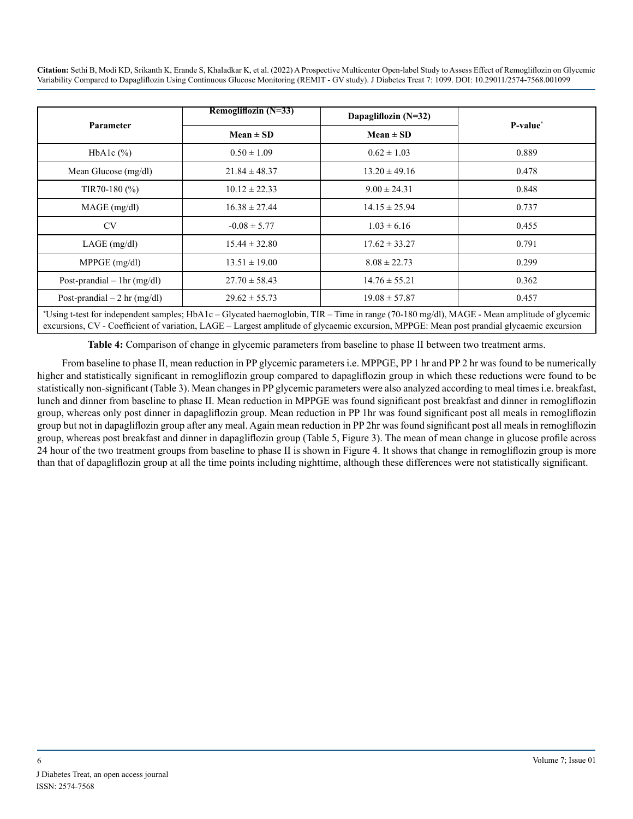| <b>Parameter</b>               | Remogliflozin (N=33) | Dapagliflozin (N=32) | P-value <sup>*</sup> |  |
|--------------------------------|----------------------|----------------------|----------------------|--|
|                                | $Mean \pm SD$        | Mean $\pm$ SD        |                      |  |
| HbA1c $(\%)$                   | $0.50 \pm 1.09$      | $0.62 \pm 1.03$      | 0.889                |  |
| Mean Glucose (mg/dl)           | $21.84 \pm 48.37$    | $13.20 \pm 49.16$    | 0.478                |  |
| TIR70-180 $(\% )$              | $10.12 \pm 22.33$    | $9.00 \pm 24.31$     | 0.848                |  |
| $MAGE$ (mg/dl)                 | $16.38 \pm 27.44$    | $14.15 \pm 25.94$    | 0.737                |  |
| <b>CV</b>                      | $-0.08 \pm 5.77$     | $1.03 \pm 6.16$      | 0.455                |  |
| LAGE (mg/dl)                   | $15.44 \pm 32.80$    | $17.62 \pm 33.27$    | 0.791                |  |
| $MPPGE$ (mg/dl)                | $13.51 \pm 19.00$    | $8.08 \pm 22.73$     | 0.299                |  |
| Post-prandial $-$ 1 hr (mg/dl) | $27.70 \pm 58.43$    | $14.76 \pm 55.21$    | 0.362                |  |
| Post-prandial $-2$ hr (mg/dl)  | $29.62 \pm 55.73$    | $19.08 \pm 57.87$    | 0.457                |  |

\* Using t-test for independent samples; HbA1c – Glycated haemoglobin, TIR – Time in range (70-180 mg/dl), MAGE - Mean amplitude of glycemic excursions, CV - Coefficient of variation, LAGE – Largest amplitude of glycaemic excursion, MPPGE: Mean post prandial glycaemic excursion

**Table 4:** Comparison of change in glycemic parameters from baseline to phase II between two treatment arms.

From baseline to phase II, mean reduction in PP glycemic parameters i.e. MPPGE, PP 1 hr and PP 2 hr was found to be numerically higher and statistically significant in remogliflozin group compared to dapagliflozin group in which these reductions were found to be statistically non-significant (Table 3). Mean changes in PP glycemic parameters were also analyzed according to meal times i.e. breakfast, lunch and dinner from baseline to phase II. Mean reduction in MPPGE was found significant post breakfast and dinner in remogliflozin group, whereas only post dinner in dapagliflozin group. Mean reduction in PP 1hr was found significant post all meals in remogliflozin group but not in dapagliflozin group after any meal. Again mean reduction in PP 2hr was found significant post all meals in remogliflozin group, whereas post breakfast and dinner in dapagliflozin group (Table 5, Figure 3). The mean of mean change in glucose profile across 24 hour of the two treatment groups from baseline to phase II is shown in Figure 4. It shows that change in remogliflozin group is more than that of dapagliflozin group at all the time points including nighttime, although these differences were not statistically significant.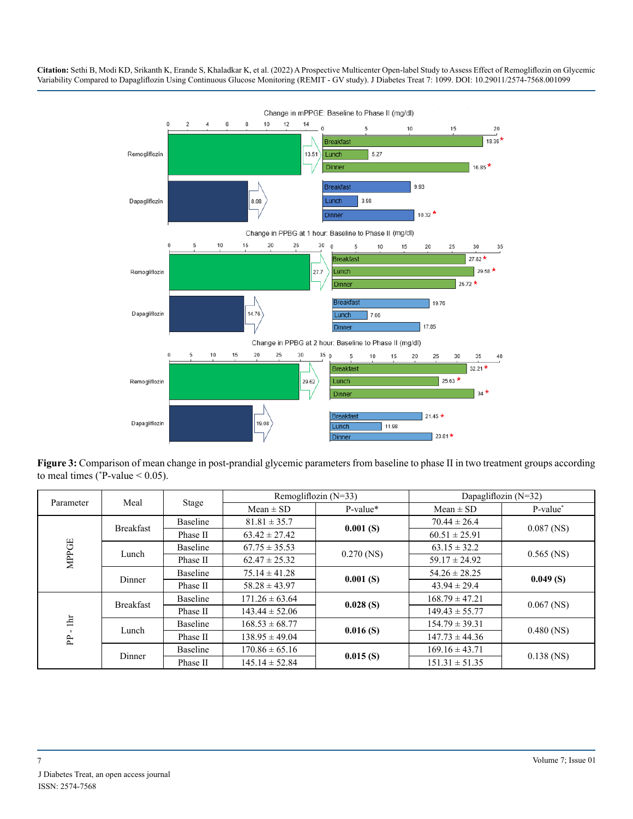

**Figure 3:** Comparison of mean change in post-prandial glycemic parameters from baseline to phase II in two treatment groups according to meal times ( $P$ -value < 0.05).

|              |                  | Stage    |                    | Remogliflozin $(N=33)$ | Dapagliflozin $(N=32)$ |              |
|--------------|------------------|----------|--------------------|------------------------|------------------------|--------------|
| Parameter    | Meal             |          | $Mean \pm SD$      | P-value*               | $Mean \pm SD$          | P-value*     |
|              | <b>Breakfast</b> | Baseline | $81.81 \pm 35.7$   | 0.001(S)               | $70.44 \pm 26.4$       | $0.087$ (NS) |
|              |                  | Phase II | $63.42 \pm 27.42$  |                        | $60.51 \pm 25.91$      |              |
| <b>MPPGE</b> | Lunch            | Baseline | $67.75 \pm 35.53$  |                        | $63.15 \pm 32.2$       |              |
|              |                  | Phase II | $62.47 \pm 25.32$  | $0.270$ (NS)           | $59.17 \pm 24.92$      | $0.565$ (NS) |
|              | Dinner           | Baseline | $75.14 \pm 41.28$  | 0.001(S)               | $54.26 \pm 28.25$      | 0.049(S)     |
|              |                  | Phase II | $58.28 \pm 43.97$  |                        | $43.94 \pm 29.4$       |              |
|              | <b>Breakfast</b> | Baseline | $171.26 \pm 63.64$ | 0.028(S)               | $168.79 \pm 47.21$     | $0.067$ (NS) |
|              |                  | Phase II | $143.44 \pm 52.06$ |                        | $149.43 \pm 55.77$     |              |
| 直<br>Ê       | Lunch            | Baseline | $168.53 \pm 68.77$ | 0.016(S)               | $154.79 \pm 39.31$     |              |
|              |                  | Phase II | $138.95 \pm 49.04$ |                        | $147.73 \pm 44.36$     | $0.480$ (NS) |
|              |                  | Baseline | $170.86 \pm 65.16$ | 0.015(S)               | $169.16 \pm 43.71$     |              |
|              | Dinner           | Phase II | $145.14 \pm 52.84$ |                        | $151.31 \pm 51.35$     | $0.138$ (NS) |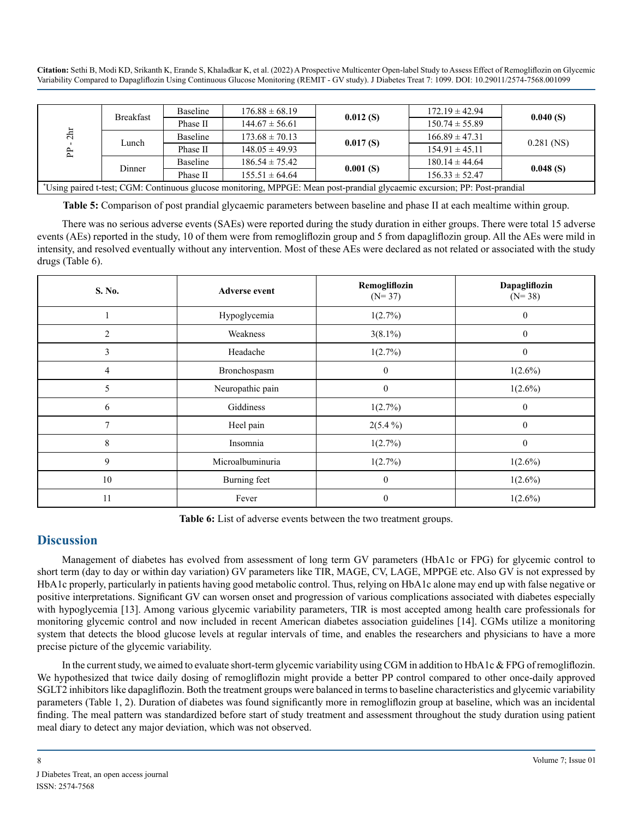| 2hr<br><b>PP</b>                                                                                                           | <b>Breakfast</b> | Baseline | $176.88 \pm 68.19$ | 0.012(S) | $172.19 \pm 42.94$ | 0.040(S)     |
|----------------------------------------------------------------------------------------------------------------------------|------------------|----------|--------------------|----------|--------------------|--------------|
|                                                                                                                            |                  | Phase II | $144.67 \pm 56.61$ |          | $150.74 \pm 55.89$ |              |
|                                                                                                                            | Lunch            | Baseline | $173.68 \pm 70.13$ | 0.017(S) | $166.89 \pm 47.31$ | $0.281$ (NS) |
|                                                                                                                            |                  | Phase II | $148.05 \pm 49.93$ |          | $154.91 \pm 45.11$ |              |
|                                                                                                                            |                  | Baseline | $186.54 \pm 75.42$ |          | $180.14 \pm 44.64$ |              |
|                                                                                                                            | Dinner           | Phase II | $155.51 \pm 64.64$ | 0.001(S) | $156.33 \pm 52.47$ | 0.048(S)     |
| *Using paired t-test; CGM: Continuous glucose monitoring, MPPGE: Mean post-prandial glycaemic excursion; PP: Post-prandial |                  |          |                    |          |                    |              |

| $PP - 2hr$                                                        | Lunch            | <b>Baseline</b><br>Phase II | $173.68 \pm 70.13$<br>$148.05 \pm 49.93$                          | 0.017(S)                                                                                                                                                                                                                                                                                                                                                                                                                                                                                                                                                                                                                                                                                                                                                                                                                                                                                                                                                                                                                                                                                                                                                                                                                                                                                                                                                                                                                                                                                                                                                                                                                                                                                                                                | $166.89 \pm 47.31$<br>$154.91 \pm 45.11$ | $0.281$ (NS)              |
|-------------------------------------------------------------------|------------------|-----------------------------|-------------------------------------------------------------------|-----------------------------------------------------------------------------------------------------------------------------------------------------------------------------------------------------------------------------------------------------------------------------------------------------------------------------------------------------------------------------------------------------------------------------------------------------------------------------------------------------------------------------------------------------------------------------------------------------------------------------------------------------------------------------------------------------------------------------------------------------------------------------------------------------------------------------------------------------------------------------------------------------------------------------------------------------------------------------------------------------------------------------------------------------------------------------------------------------------------------------------------------------------------------------------------------------------------------------------------------------------------------------------------------------------------------------------------------------------------------------------------------------------------------------------------------------------------------------------------------------------------------------------------------------------------------------------------------------------------------------------------------------------------------------------------------------------------------------------------|------------------------------------------|---------------------------|
|                                                                   |                  | Baseline                    | $186.54 \pm 75.42$                                                |                                                                                                                                                                                                                                                                                                                                                                                                                                                                                                                                                                                                                                                                                                                                                                                                                                                                                                                                                                                                                                                                                                                                                                                                                                                                                                                                                                                                                                                                                                                                                                                                                                                                                                                                         | $180.14 \pm 44.64$                       |                           |
|                                                                   | Dinner           | Phase II                    | $155.51 \pm 64.64$                                                | 0.001(S)                                                                                                                                                                                                                                                                                                                                                                                                                                                                                                                                                                                                                                                                                                                                                                                                                                                                                                                                                                                                                                                                                                                                                                                                                                                                                                                                                                                                                                                                                                                                                                                                                                                                                                                                | $156.33 \pm 52.47$                       | 0.048(S)                  |
|                                                                   |                  |                             |                                                                   | *Using paired t-test; CGM: Continuous glucose monitoring, MPPGE: Mean post-prandial glycaemic excursion; PP: Post-prandial                                                                                                                                                                                                                                                                                                                                                                                                                                                                                                                                                                                                                                                                                                                                                                                                                                                                                                                                                                                                                                                                                                                                                                                                                                                                                                                                                                                                                                                                                                                                                                                                              |                                          |                           |
| drugs (Table 6).                                                  |                  |                             |                                                                   | Table 5: Comparison of post prandial glycaemic parameters between baseline and phase II at each mealtime within group.<br>There was no serious adverse events (SAEs) were reported during the study duration in either groups. There were total 15 adverse<br>events (AEs) reported in the study, 10 of them were from remogliflozin group and 5 from dapagliflozin group. All the AEs were mild in<br>intensity, and resolved eventually without any intervention. Most of these AEs were declared as not related or associated with the study                                                                                                                                                                                                                                                                                                                                                                                                                                                                                                                                                                                                                                                                                                                                                                                                                                                                                                                                                                                                                                                                                                                                                                                         |                                          |                           |
|                                                                   | S. No.           |                             | <b>Adverse event</b>                                              | Remogliflozin<br>$(N=37)$                                                                                                                                                                                                                                                                                                                                                                                                                                                                                                                                                                                                                                                                                                                                                                                                                                                                                                                                                                                                                                                                                                                                                                                                                                                                                                                                                                                                                                                                                                                                                                                                                                                                                                               |                                          | Dapagliflozin<br>$(N=38)$ |
|                                                                   | $\mathbf{1}$     |                             | Hypoglycemia                                                      | 1(2.7%)                                                                                                                                                                                                                                                                                                                                                                                                                                                                                                                                                                                                                                                                                                                                                                                                                                                                                                                                                                                                                                                                                                                                                                                                                                                                                                                                                                                                                                                                                                                                                                                                                                                                                                                                 |                                          | $\boldsymbol{0}$          |
|                                                                   | $\sqrt{2}$       |                             | Weakness                                                          | $3(8.1\%)$                                                                                                                                                                                                                                                                                                                                                                                                                                                                                                                                                                                                                                                                                                                                                                                                                                                                                                                                                                                                                                                                                                                                                                                                                                                                                                                                                                                                                                                                                                                                                                                                                                                                                                                              |                                          | $\mathbf{0}$              |
|                                                                   | $\mathfrak{Z}$   |                             | Headache                                                          | 1(2.7%)                                                                                                                                                                                                                                                                                                                                                                                                                                                                                                                                                                                                                                                                                                                                                                                                                                                                                                                                                                                                                                                                                                                                                                                                                                                                                                                                                                                                                                                                                                                                                                                                                                                                                                                                 |                                          | $\boldsymbol{0}$          |
|                                                                   | $\overline{4}$   |                             | Bronchospasm                                                      | $\mathbf{0}$                                                                                                                                                                                                                                                                                                                                                                                                                                                                                                                                                                                                                                                                                                                                                                                                                                                                                                                                                                                                                                                                                                                                                                                                                                                                                                                                                                                                                                                                                                                                                                                                                                                                                                                            |                                          | $1(2.6\%)$                |
|                                                                   | 5                |                             | Neuropathic pain                                                  | $\boldsymbol{0}$                                                                                                                                                                                                                                                                                                                                                                                                                                                                                                                                                                                                                                                                                                                                                                                                                                                                                                                                                                                                                                                                                                                                                                                                                                                                                                                                                                                                                                                                                                                                                                                                                                                                                                                        |                                          | $1(2.6\%)$                |
|                                                                   | 6                |                             | Giddiness                                                         | 1(2.7%)                                                                                                                                                                                                                                                                                                                                                                                                                                                                                                                                                                                                                                                                                                                                                                                                                                                                                                                                                                                                                                                                                                                                                                                                                                                                                                                                                                                                                                                                                                                                                                                                                                                                                                                                 |                                          | $\boldsymbol{0}$          |
|                                                                   | $\boldsymbol{7}$ |                             | Heel pain                                                         | $2(5.4\%)$                                                                                                                                                                                                                                                                                                                                                                                                                                                                                                                                                                                                                                                                                                                                                                                                                                                                                                                                                                                                                                                                                                                                                                                                                                                                                                                                                                                                                                                                                                                                                                                                                                                                                                                              |                                          | $\boldsymbol{0}$          |
|                                                                   | $\,$ 8 $\,$      |                             | Insomnia                                                          | 1(2.7%)                                                                                                                                                                                                                                                                                                                                                                                                                                                                                                                                                                                                                                                                                                                                                                                                                                                                                                                                                                                                                                                                                                                                                                                                                                                                                                                                                                                                                                                                                                                                                                                                                                                                                                                                 |                                          | $\boldsymbol{0}$          |
|                                                                   | 9                |                             | Microalbuminuria                                                  | 1(2.7%)                                                                                                                                                                                                                                                                                                                                                                                                                                                                                                                                                                                                                                                                                                                                                                                                                                                                                                                                                                                                                                                                                                                                                                                                                                                                                                                                                                                                                                                                                                                                                                                                                                                                                                                                 |                                          | $1(2.6\%)$                |
|                                                                   | 10               |                             | Burning feet                                                      | $\boldsymbol{0}$                                                                                                                                                                                                                                                                                                                                                                                                                                                                                                                                                                                                                                                                                                                                                                                                                                                                                                                                                                                                                                                                                                                                                                                                                                                                                                                                                                                                                                                                                                                                                                                                                                                                                                                        |                                          | $1(2.6\%)$                |
|                                                                   | 11               |                             | Fever                                                             | $\boldsymbol{0}$                                                                                                                                                                                                                                                                                                                                                                                                                                                                                                                                                                                                                                                                                                                                                                                                                                                                                                                                                                                                                                                                                                                                                                                                                                                                                                                                                                                                                                                                                                                                                                                                                                                                                                                        |                                          | $1(2.6\%)$                |
| <b>Discussion</b><br>precise picture of the glycemic variability. |                  |                             | meal diary to detect any major deviation, which was not observed. | Table 6: List of adverse events between the two treatment groups.<br>Management of diabetes has evolved from assessment of long term GV parameters (HbA1c or FPG) for glycemic control to<br>short term (day to day or within day variation) GV parameters like TIR, MAGE, CV, LAGE, MPPGE etc. Also GV is not expressed by<br>HbA1c properly, particularly in patients having good metabolic control. Thus, relying on HbA1c alone may end up with false negative or<br>positive interpretations. Significant GV can worsen onset and progression of various complications associated with diabetes especially<br>with hypoglycemia [13]. Among various glycemic variability parameters, TIR is most accepted among health care professionals for<br>monitoring glycemic control and now included in recent American diabetes association guidelines [14]. CGMs utilize a monitoring<br>system that detects the blood glucose levels at regular intervals of time, and enables the researchers and physicians to have a more<br>In the current study, we aimed to evaluate short-term glycemic variability using CGM in addition to HbA1c & FPG of remogliflozin.<br>We hypothesized that twice daily dosing of remogliflozin might provide a better PP control compared to other once-daily approved<br>SGLT2 inhibitors like dapagliflozin. Both the treatment groups were balanced in terms to baseline characteristics and glycemic variability<br>parameters (Table 1, 2). Duration of diabetes was found significantly more in remogliflozin group at baseline, which was an incidental<br>finding. The meal pattern was standardized before start of study treatment and assessment throughout the study duration using patient |                                          |                           |
| 8<br>J Diabetes Treat, an open access journal<br>ISSN: 2574-7568  |                  |                             |                                                                   |                                                                                                                                                                                                                                                                                                                                                                                                                                                                                                                                                                                                                                                                                                                                                                                                                                                                                                                                                                                                                                                                                                                                                                                                                                                                                                                                                                                                                                                                                                                                                                                                                                                                                                                                         |                                          | Volume 7; Issue 01        |

**Table 6:** List of adverse events between the two treatment groups.

# **Discussion**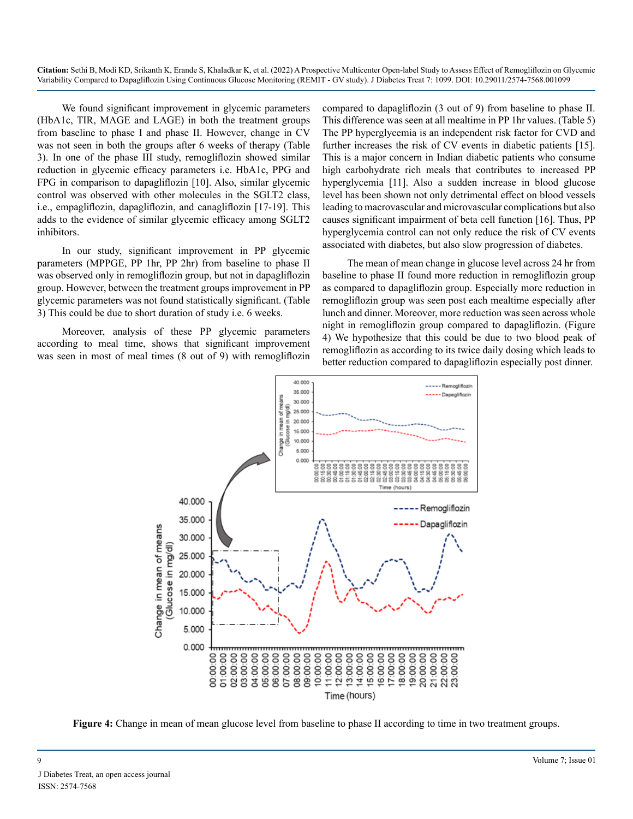We found significant improvement in glycemic parameters (HbA1c, TIR, MAGE and LAGE) in both the treatment groups from baseline to phase I and phase II. However, change in CV was not seen in both the groups after 6 weeks of therapy (Table 3). In one of the phase III study, remogliflozin showed similar reduction in glycemic efficacy parameters i.e. HbA1c, PPG and FPG in comparison to dapagliflozin [10]. Also, similar glycemic control was observed with other molecules in the SGLT2 class, i.e., empagliflozin, dapagliflozin, and canagliflozin [17-19]. This adds to the evidence of similar glycemic efficacy among SGLT2 inhibitors.

In our study, significant improvement in PP glycemic parameters (MPPGE, PP 1hr, PP 2hr) from baseline to phase II was observed only in remogliflozin group, but not in dapagliflozin group. However, between the treatment groups improvement in PP glycemic parameters was not found statistically significant. (Table 3) This could be due to short duration of study i.e. 6 weeks.

Moreover, analysis of these PP glycemic parameters according to meal time, shows that significant improvement was seen in most of meal times (8 out of 9) with remogliflozin compared to dapagliflozin (3 out of 9) from baseline to phase II. This difference was seen at all mealtime in PP 1hr values. (Table 5) The PP hyperglycemia is an independent risk factor for CVD and further increases the risk of CV events in diabetic patients [15]. This is a major concern in Indian diabetic patients who consume high carbohydrate rich meals that contributes to increased PP hyperglycemia [11]. Also a sudden increase in blood glucose level has been shown not only detrimental effect on blood vessels leading to macrovascular and microvascular complications but also causes significant impairment of beta cell function [16]. Thus, PP hyperglycemia control can not only reduce the risk of CV events associated with diabetes, but also slow progression of diabetes.

The mean of mean change in glucose level across 24 hr from baseline to phase II found more reduction in remogliflozin group as compared to dapagliflozin group. Especially more reduction in remogliflozin group was seen post each mealtime especially after lunch and dinner. Moreover, more reduction was seen across whole night in remogliflozin group compared to dapagliflozin. (Figure 4) We hypothesize that this could be due to two blood peak of remogliflozin as according to its twice daily dosing which leads to better reduction compared to dapagliflozin especially post dinner.



**Figure 4:** Change in mean of mean glucose level from baseline to phase II according to time in two treatment groups.